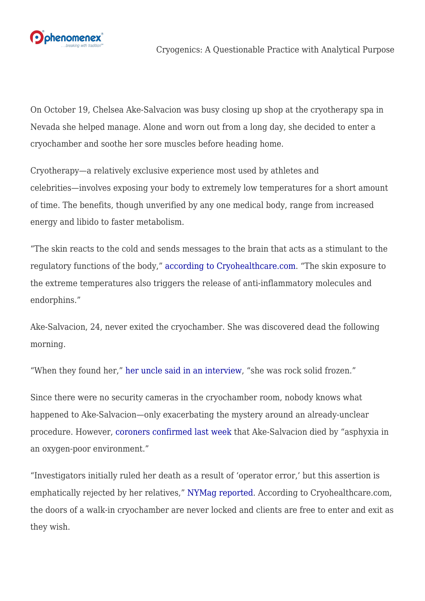

On October 19, Chelsea Ake-Salvacion was busy closing up shop at the cryotherapy spa in Nevada she helped manage. Alone and worn out from a long day, she decided to enter a cryochamber and soothe her sore muscles before heading home.

Cryotherapy—a relatively exclusive experience most used by athletes and celebrities—involves exposing your body to extremely low temperatures for a short amount of time. The benefits, though unverified by any one medical body, range from increased energy and libido to faster metabolism.

"The skin reacts to the cold and sends messages to the brain that acts as a stimulant to the regulatory functions of the body," [according to Cryohealthcare.com](http://www.cryohealthcare.com/cryotherapy-faqs/). "The skin exposure to the extreme temperatures also triggers the release of anti-inflammatory molecules and endorphins."

Ake-Salvacion, 24, never exited the cryochamber. She was discovered dead the following morning.

"When they found her," [her uncle said in an interview,](http://nypost.com/2015/10/28/she-was-rock-solid-frozen-uncle-of-dead-cryotherapy-spa-aide/) "she was rock solid frozen."

Since there were no security cameras in the cryochamber room, nobody knows what happened to Ake-Salvacion—only exacerbating the mystery around an already-unclear procedure. However, [coroners confirmed last week](http://www.reviewjournal.com/news/las-vegas/cryotherapy-death-caused-lack-oxygen-coroner-says) that Ake-Salvacion died by "asphyxia in an oxygen-poor environment."

"Investigators initially ruled her death as a result of 'operator error,' but this assertion is emphatically rejected by her relatives," [NYMag reported.](http://nymag.com/thecut/2015/10/woman-froze-to-death-in-a-cryotherapy-machine.html) According to Cryohealthcare.com, the doors of a walk-in cryochamber are never locked and clients are free to enter and exit as they wish.